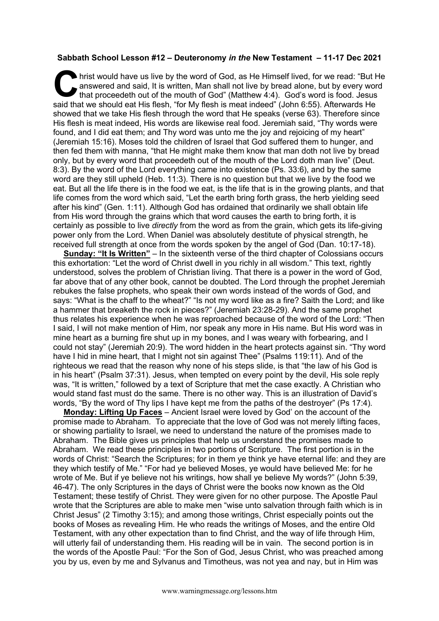## **Sabbath School Lesson #12 – Deuteronomy** *in the* **New Testament – 11-17 Dec 2021**

hrist would have us live by the word of God, as He Himself lived, for we read: "But He answered and said, It is written, Man shall not live by bread alone, but by every word that proceedeth out of the mouth of God" (Matthew 4:4). God's word is food. Jesus said that we should eat His flesh, "for My flesh is meat indeed" (John 6:55). Afterwards He showed that we take His flesh through the word that He speaks (verse 63). Therefore since His flesh is meat indeed, His words are likewise real food. Jeremiah said, "Thy words were found, and I did eat them; and Thy word was unto me the joy and rejoicing of my heart" (Jeremiah 15:16). Moses told the children of Israel that God suffered them to hunger, and then fed them with manna, "that He might make them know that man doth not live by bread only, but by every word that proceedeth out of the mouth of the Lord doth man live" (Deut. 8:3). By the word of the Lord everything came into existence (Ps. 33:6), and by the same word are they still upheld (Heb. 11:3). There is no question but that we live by the food we eat. But all the life there is in the food we eat, is the life that is in the growing plants, and that life comes from the word which said, "Let the earth bring forth grass, the herb yielding seed after his kind" (Gen. 1:11). Although God has ordained that ordinarily we shall obtain life from His word through the grains which that word causes the earth to bring forth, it is certainly as possible to live *directly* from the word as from the grain, which gets its life-giving power only from the Lord. When Daniel was absolutely destitute of physical strength, he received full strength at once from the words spoken by the angel of God (Dan. 10:17-18). C hris

**Sunday: "It Is Written"** – In the sixteenth verse of the third chapter of Colossians occurs this exhortation: "Let the word of Christ dwell in you richly in all wisdom." This text, rightly understood, solves the problem of Christian living. That there is a power in the word of God, far above that of any other book, cannot be doubted. The Lord through the prophet Jeremiah rebukes the false prophets, who speak their own words instead of the words of God, and says: "What is the chaff to the wheat?" "Is not my word like as a fire? Saith the Lord; and like a hammer that breaketh the rock in pieces?" (Jeremiah 23:28-29). And the same prophet thus relates his experience when he was reproached because of the word of the Lord: "Then I said, I will not make mention of Him, nor speak any more in His name. But His word was in mine heart as a burning fire shut up in my bones, and I was weary with forbearing, and I could not stay" (Jeremiah 20:9). The word hidden in the heart protects against sin. "Thy word have I hid in mine heart, that I might not sin against Thee" (Psalms 119:11). And of the righteous we read that the reason why none of his steps slide, is that "the law of his God is in his heart" (Psalm 37:31). Jesus, when tempted on every point by the devil, His sole reply was, "It is written," followed by a text of Scripture that met the case exactly. A Christian who would stand fast must do the same. There is no other way. This is an illustration of David's words, "By the word of Thy lips I have kept me from the paths of the destroyer" (Ps 17:4).

**Monday: Lifting Up Faces** – Ancient Israel were loved by God' on the account of the promise made to Abraham. To appreciate that the love of God was not merely lifting faces, or showing partiality to Israel, we need to understand the nature of the promises made to Abraham. The Bible gives us principles that help us understand the promises made to Abraham. We read these principles in two portions of Scripture. The first portion is in the words of Christ: "Search the Scriptures; for in them ye think ye have eternal life: and they are they which testify of Me." "For had ye believed Moses, ye would have believed Me: for he wrote of Me. But if ye believe not his writings, how shall ye believe My words?" (John 5:39, 46-47). The only Scriptures in the days of Christ were the books now known as the Old Testament; these testify of Christ. They were given for no other purpose. The Apostle Paul wrote that the Scriptures are able to make men "wise unto salvation through faith which is in Christ Jesus" (2 Timothy 3:15); and among those writings, Christ especially points out the books of Moses as revealing Him. He who reads the writings of Moses, and the entire Old Testament, with any other expectation than to find Christ, and the way of life through Him, will utterly fail of understanding them. His reading will be in vain. The second portion is in the words of the Apostle Paul: "For the Son of God, Jesus Christ, who was preached among you by us, even by me and Sylvanus and Timotheus, was not yea and nay, but in Him was